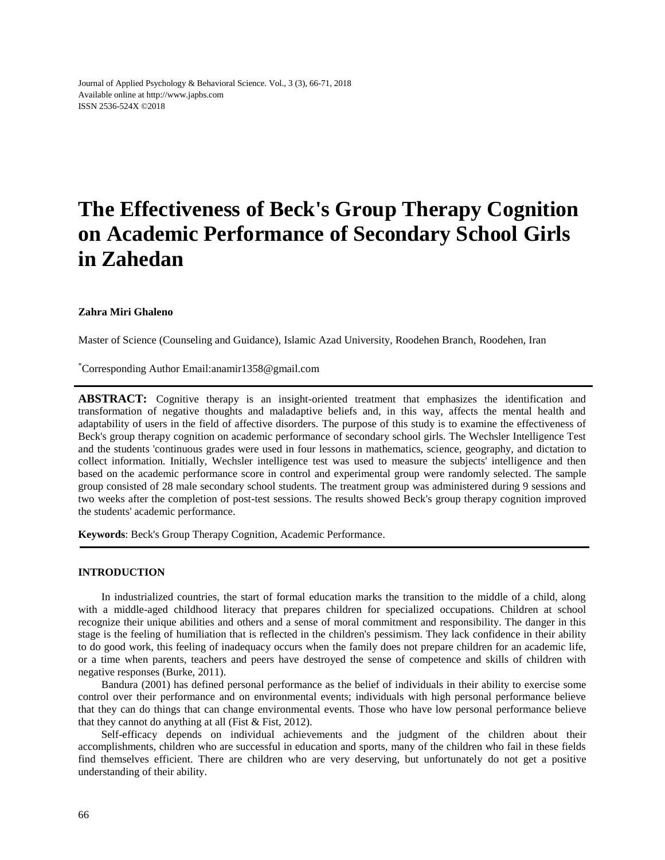Journal of Applied Psychology & Behavioral Science. Vol., 3 (3), 66-71, 2018 Available online at http://www.japbs.com ISSN 2536-524X ©2018

# **The Effectiveness of Beck's Group Therapy Cognition on Academic Performance of Secondary School Girls in Zahedan**

### **Zahra Miri Ghaleno**

Master of Science (Counseling and Guidance), Islamic Azad University, Roodehen Branch, Roodehen, Iran

\*Corresponding Author Email:anamir1358@gmail.com

**ABSTRACT:** Cognitive therapy is an insight-oriented treatment that emphasizes the identification and transformation of negative thoughts and maladaptive beliefs and, in this way, affects the mental health and adaptability of users in the field of affective disorders. The purpose of this study is to examine the effectiveness of Beck's group therapy cognition on academic performance of secondary school girls. The Wechsler Intelligence Test and the students 'continuous grades were used in four lessons in mathematics, science, geography, and dictation to collect information. Initially, Wechsler intelligence test was used to measure the subjects' intelligence and then based on the academic performance score in control and experimental group were randomly selected. The sample group consisted of 28 male secondary school students. The treatment group was administered during 9 sessions and two weeks after the completion of post-test sessions. The results showed Beck's group therapy cognition improved the students' academic performance.

**Keywords**: Beck's Group Therapy Cognition, Academic Performance.

## **INTRODUCTION**

In industrialized countries, the start of formal education marks the transition to the middle of a child, along with a middle-aged childhood literacy that prepares children for specialized occupations. Children at school recognize their unique abilities and others and a sense of moral commitment and responsibility. The danger in this stage is the feeling of humiliation that is reflected in the children's pessimism. They lack confidence in their ability to do good work, this feeling of inadequacy occurs when the family does not prepare children for an academic life, or a time when parents, teachers and peers have destroyed the sense of competence and skills of children with negative responses (Burke, 2011).

Bandura (2001) has defined personal performance as the belief of individuals in their ability to exercise some control over their performance and on environmental events; individuals with high personal performance believe that they can do things that can change environmental events. Those who have low personal performance believe that they cannot do anything at all (Fist & Fist, 2012).

Self-efficacy depends on individual achievements and the judgment of the children about their accomplishments, children who are successful in education and sports, many of the children who fail in these fields find themselves efficient. There are children who are very deserving, but unfortunately do not get a positive understanding of their ability.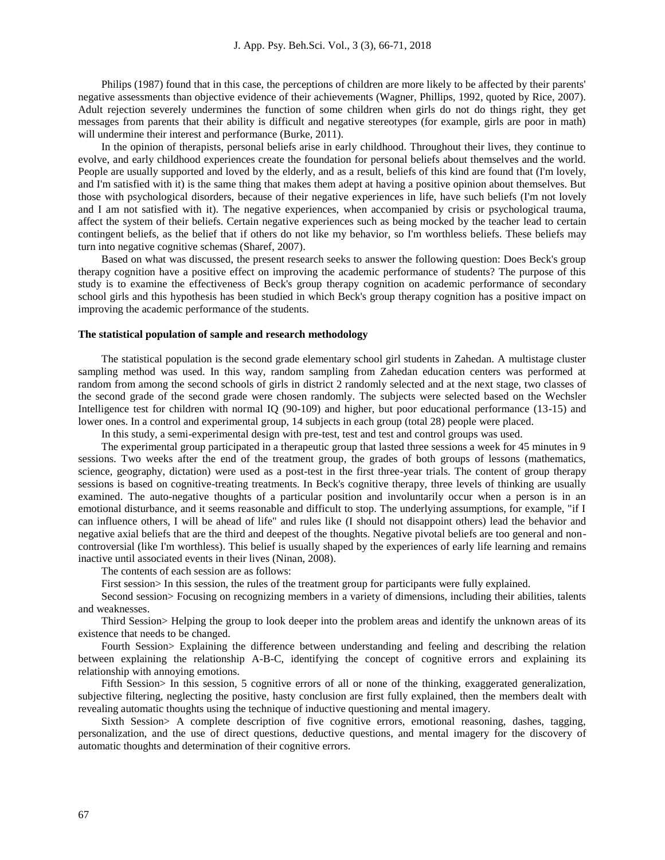Philips (1987) found that in this case, the perceptions of children are more likely to be affected by their parents' negative assessments than objective evidence of their achievements (Wagner, Phillips, 1992, quoted by Rice, 2007). Adult rejection severely undermines the function of some children when girls do not do things right, they get messages from parents that their ability is difficult and negative stereotypes (for example, girls are poor in math) will undermine their interest and performance (Burke, 2011).

In the opinion of therapists, personal beliefs arise in early childhood. Throughout their lives, they continue to evolve, and early childhood experiences create the foundation for personal beliefs about themselves and the world. People are usually supported and loved by the elderly, and as a result, beliefs of this kind are found that (I'm lovely, and I'm satisfied with it) is the same thing that makes them adept at having a positive opinion about themselves. But those with psychological disorders, because of their negative experiences in life, have such beliefs (I'm not lovely and I am not satisfied with it). The negative experiences, when accompanied by crisis or psychological trauma, affect the system of their beliefs. Certain negative experiences such as being mocked by the teacher lead to certain contingent beliefs, as the belief that if others do not like my behavior, so I'm worthless beliefs. These beliefs may turn into negative cognitive schemas (Sharef, 2007).

Based on what was discussed, the present research seeks to answer the following question: Does Beck's group therapy cognition have a positive effect on improving the academic performance of students? The purpose of this study is to examine the effectiveness of Beck's group therapy cognition on academic performance of secondary school girls and this hypothesis has been studied in which Beck's group therapy cognition has a positive impact on improving the academic performance of the students.

#### **The statistical population of sample and research methodology**

The statistical population is the second grade elementary school girl students in Zahedan. A multistage cluster sampling method was used. In this way, random sampling from Zahedan education centers was performed at random from among the second schools of girls in district 2 randomly selected and at the next stage, two classes of the second grade of the second grade were chosen randomly. The subjects were selected based on the Wechsler Intelligence test for children with normal IQ (90-109) and higher, but poor educational performance (13-15) and lower ones. In a control and experimental group, 14 subjects in each group (total 28) people were placed.

In this study, a semi-experimental design with pre-test, test and test and control groups was used.

The experimental group participated in a therapeutic group that lasted three sessions a week for 45 minutes in 9 sessions. Two weeks after the end of the treatment group, the grades of both groups of lessons (mathematics, science, geography, dictation) were used as a post-test in the first three-year trials. The content of group therapy sessions is based on cognitive-treating treatments. In Beck's cognitive therapy, three levels of thinking are usually examined. The auto-negative thoughts of a particular position and involuntarily occur when a person is in an emotional disturbance, and it seems reasonable and difficult to stop. The underlying assumptions, for example, "if I can influence others, I will be ahead of life" and rules like (I should not disappoint others) lead the behavior and negative axial beliefs that are the third and deepest of the thoughts. Negative pivotal beliefs are too general and noncontroversial (like I'm worthless). This belief is usually shaped by the experiences of early life learning and remains inactive until associated events in their lives (Ninan, 2008).

The contents of each session are as follows:

First session> In this session, the rules of the treatment group for participants were fully explained.

Second session> Focusing on recognizing members in a variety of dimensions, including their abilities, talents and weaknesses.

Third Session> Helping the group to look deeper into the problem areas and identify the unknown areas of its existence that needs to be changed.

Fourth Session> Explaining the difference between understanding and feeling and describing the relation between explaining the relationship A-B-C, identifying the concept of cognitive errors and explaining its relationship with annoying emotions.

Fifth Session> In this session, 5 cognitive errors of all or none of the thinking, exaggerated generalization, subjective filtering, neglecting the positive, hasty conclusion are first fully explained, then the members dealt with revealing automatic thoughts using the technique of inductive questioning and mental imagery.

Sixth Session> A complete description of five cognitive errors, emotional reasoning, dashes, tagging, personalization, and the use of direct questions, deductive questions, and mental imagery for the discovery of automatic thoughts and determination of their cognitive errors.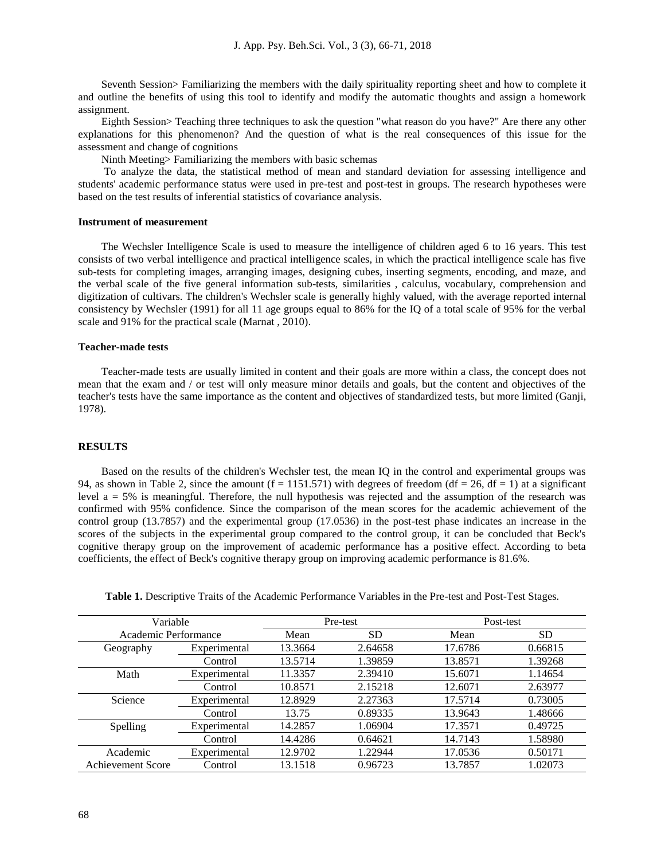Seventh Session> Familiarizing the members with the daily spirituality reporting sheet and how to complete it and outline the benefits of using this tool to identify and modify the automatic thoughts and assign a homework assignment.

Eighth Session> Teaching three techniques to ask the question "what reason do you have?" Are there any other explanations for this phenomenon? And the question of what is the real consequences of this issue for the assessment and change of cognitions

Ninth Meeting> Familiarizing the members with basic schemas

To analyze the data, the statistical method of mean and standard deviation for assessing intelligence and students' academic performance status were used in pre-test and post-test in groups. The research hypotheses were based on the test results of inferential statistics of covariance analysis.

## **Instrument of measurement**

The Wechsler Intelligence Scale is used to measure the intelligence of children aged 6 to 16 years. This test consists of two verbal intelligence and practical intelligence scales, in which the practical intelligence scale has five sub-tests for completing images, arranging images, designing cubes, inserting segments, encoding, and maze, and the verbal scale of the five general information sub-tests, similarities , calculus, vocabulary, comprehension and digitization of cultivars. The children's Wechsler scale is generally highly valued, with the average reported internal consistency by Wechsler (1991) for all 11 age groups equal to 86% for the IQ of a total scale of 95% for the verbal scale and 91% for the practical scale (Marnat , 2010).

#### **Teacher-made tests**

Teacher-made tests are usually limited in content and their goals are more within a class, the concept does not mean that the exam and / or test will only measure minor details and goals, but the content and objectives of the teacher's tests have the same importance as the content and objectives of standardized tests, but more limited (Ganji, 1978).

## **RESULTS**

Based on the results of the children's Wechsler test, the mean IQ in the control and experimental groups was 94, as shown in Table 2, since the amount  $(f = 1151.571)$  with degrees of freedom  $(df = 26, df = 1)$  at a significant level a = 5% is meaningful. Therefore, the null hypothesis was rejected and the assumption of the research was confirmed with 95% confidence. Since the comparison of the mean scores for the academic achievement of the control group (13.7857) and the experimental group (17.0536) in the post-test phase indicates an increase in the scores of the subjects in the experimental group compared to the control group, it can be concluded that Beck's cognitive therapy group on the improvement of academic performance has a positive effect. According to beta coefficients, the effect of Beck's cognitive therapy group on improving academic performance is 81.6%.

| Variable             |              |         | Pre-test  | Post-test |           |  |
|----------------------|--------------|---------|-----------|-----------|-----------|--|
| Academic Performance |              | Mean    | <b>SD</b> | Mean      | <b>SD</b> |  |
| Geography            | Experimental | 13.3664 | 2.64658   | 17.6786   | 0.66815   |  |
|                      | Control      | 13.5714 | 1.39859   | 13.8571   | 1.39268   |  |
| Math                 | Experimental | 11.3357 | 2.39410   | 15.6071   | 1.14654   |  |
| Control              |              | 10.8571 | 2.15218   | 12.6071   | 2.63977   |  |
| Science              | Experimental | 12.8929 | 2.27363   | 17.5714   | 0.73005   |  |
|                      | Control      | 13.75   | 0.89335   | 13.9643   | 1.48666   |  |
| Spelling             | Experimental | 14.2857 | 1.06904   | 17.3571   | 0.49725   |  |
| Control              |              | 14.4286 | 0.64621   | 14.7143   | 1.58980   |  |
| Academic             | Experimental | 12.9702 | 1.22944   | 17.0536   | 0.50171   |  |
| Achievement Score    | Control      | 13.1518 | 0.96723   | 13.7857   | 1.02073   |  |

**Table 1.** Descriptive Traits of the Academic Performance Variables in the Pre-test and Post-Test Stages.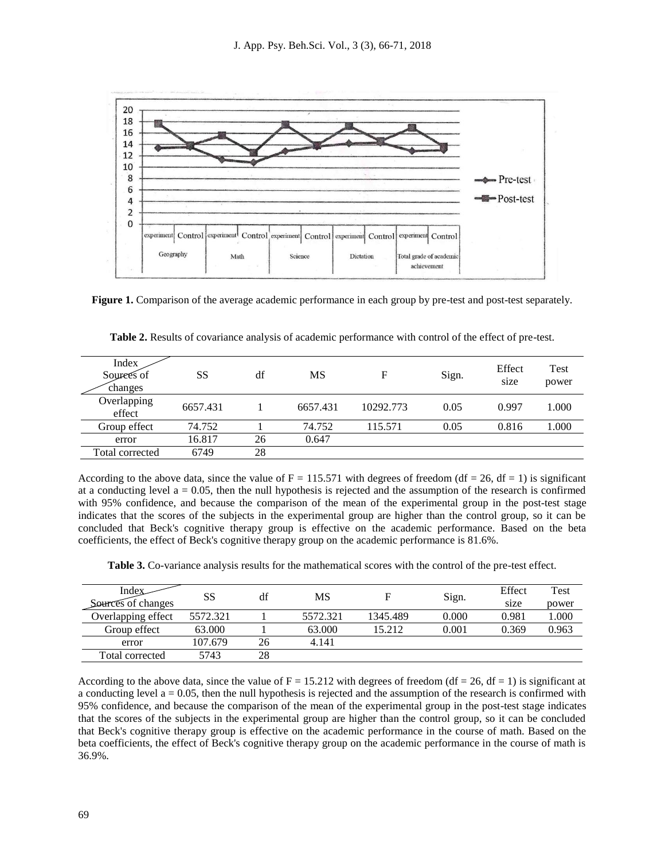

**Figure 1.** Comparison of the average academic performance in each group by pre-test and post-test separately.

| Index<br>Sources of<br>changes | <b>SS</b> | df | MS       | F         | Sign. | Effect<br>size | Test<br>power |
|--------------------------------|-----------|----|----------|-----------|-------|----------------|---------------|
| Overlapping<br>effect          | 6657.431  |    | 6657.431 | 10292.773 | 0.05  | 0.997          | 1.000         |
| Group effect                   | 74.752    |    | 74.752   | 115.571   | 0.05  | 0.816          | 1.000         |
| error                          | 16.817    | 26 | 0.647    |           |       |                |               |
| Total corrected                | 6749      | 28 |          |           |       |                |               |

**Table 2.** Results of covariance analysis of academic performance with control of the effect of pre-test.

According to the above data, since the value of  $F = 115.571$  with degrees of freedom (df = 26, df = 1) is significant at a conducting level  $a = 0.05$ , then the null hypothesis is rejected and the assumption of the research is confirmed with 95% confidence, and because the comparison of the mean of the experimental group in the post-test stage indicates that the scores of the subjects in the experimental group are higher than the control group, so it can be concluded that Beck's cognitive therapy group is effective on the academic performance. Based on the beta coefficients, the effect of Beck's cognitive therapy group on the academic performance is 81.6%.

**Table 3.** Co-variance analysis results for the mathematical scores with the control of the pre-test effect.

| Index              | SS       | df | MS       | F        | Sign. | Effect | Test  |
|--------------------|----------|----|----------|----------|-------|--------|-------|
| Sources of changes |          |    |          |          |       | size   | power |
| Overlapping effect | 5572.321 |    | 5572.321 | 1345.489 | 0.000 | 0.981  | 1.000 |
| Group effect       | 63.000   |    | 63.000   | 15.212   | 0.001 | 0.369  | 0.963 |
| error              | 107.679  | 26 | 4.141    |          |       |        |       |
| Total corrected    | 5743     | 28 |          |          |       |        |       |

According to the above data, since the value of  $F = 15.212$  with degrees of freedom (df = 26, df = 1) is significant at a conducting level  $a = 0.05$ , then the null hypothesis is rejected and the assumption of the research is confirmed with 95% confidence, and because the comparison of the mean of the experimental group in the post-test stage indicates that the scores of the subjects in the experimental group are higher than the control group, so it can be concluded that Beck's cognitive therapy group is effective on the academic performance in the course of math. Based on the beta coefficients, the effect of Beck's cognitive therapy group on the academic performance in the course of math is 36.9%.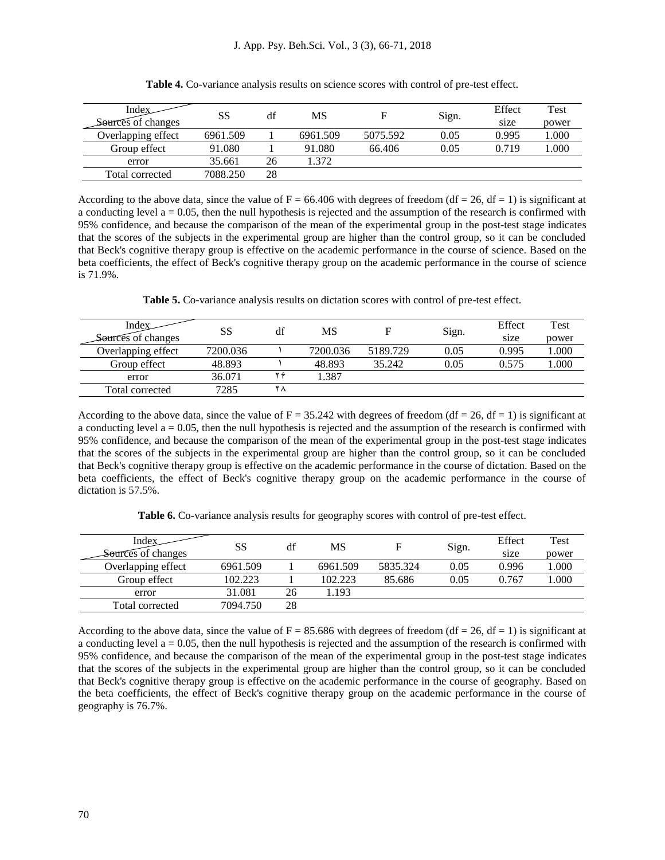| Index              | SS       | df | MS       | Е        | Sign. | Effect | Test  |
|--------------------|----------|----|----------|----------|-------|--------|-------|
| Sources of changes |          |    |          |          |       | size   | power |
| Overlapping effect | 6961.509 |    | 6961.509 | 5075.592 | 0.05  | 0.995  | 000.1 |
| Group effect       | 91.080   |    | 91.080   | 66.406   | 0.05  | 0.719  | .000  |
| error              | 35.661   | 26 | .372     |          |       |        |       |
| Total corrected    | 7088.250 | 28 |          |          |       |        |       |

**Table 4.** Co-variance analysis results on science scores with control of pre-test effect.

According to the above data, since the value of  $F = 66.406$  with degrees of freedom (df = 26, df = 1) is significant at a conducting level  $a = 0.05$ , then the null hypothesis is rejected and the assumption of the research is confirmed with 95% confidence, and because the comparison of the mean of the experimental group in the post-test stage indicates that the scores of the subjects in the experimental group are higher than the control group, so it can be concluded that Beck's cognitive therapy group is effective on the academic performance in the course of science. Based on the beta coefficients, the effect of Beck's cognitive therapy group on the academic performance in the course of science is 71.9%.

**Table 5.** Co-variance analysis results on dictation scores with control of pre-test effect.

| Index<br>Sources of changes | SS       | df | MS       | F        | Sign. | Effect<br>size | Test<br>power |
|-----------------------------|----------|----|----------|----------|-------|----------------|---------------|
| Overlapping effect          | 7200.036 |    | 7200.036 | 5189.729 | 0.05  | 0.995          | 000.1         |
| Group effect                | 48.893   |    | 48.893   | 35.242   | 0.05  | 0.575          | .000          |
| error                       | 36.071   | ۲۶ | .387     |          |       |                |               |
| Total corrected             | 7285     | ۲Λ |          |          |       |                |               |

According to the above data, since the value of  $F = 35.242$  with degrees of freedom (df = 26, df = 1) is significant at a conducting level  $a = 0.05$ , then the null hypothesis is rejected and the assumption of the research is confirmed with 95% confidence, and because the comparison of the mean of the experimental group in the post-test stage indicates that the scores of the subjects in the experimental group are higher than the control group, so it can be concluded that Beck's cognitive therapy group is effective on the academic performance in the course of dictation. Based on the beta coefficients, the effect of Beck's cognitive therapy group on the academic performance in the course of dictation is 57.5%.

**Table 6.** Co-variance analysis results for geography scores with control of pre-test effect.

| Index<br>Sources of changes | SS       | df | MS       |          | Sign. | Effect<br>size | Test<br>power |
|-----------------------------|----------|----|----------|----------|-------|----------------|---------------|
| Overlapping effect          | 6961.509 |    | 6961.509 | 5835.324 | 0.05  | 0.996          | 1.000         |
| Group effect                | 102.223  |    | 102.223  | 85.686   | 0.05  | 0.767          | .000          |
| error                       | 31.081   | 26 | 1.193    |          |       |                |               |
| Total corrected             | 7094.750 | 28 |          |          |       |                |               |

According to the above data, since the value of  $F = 85.686$  with degrees of freedom (df = 26, df = 1) is significant at a conducting level  $a = 0.05$ , then the null hypothesis is rejected and the assumption of the research is confirmed with 95% confidence, and because the comparison of the mean of the experimental group in the post-test stage indicates that the scores of the subjects in the experimental group are higher than the control group, so it can be concluded that Beck's cognitive therapy group is effective on the academic performance in the course of geography. Based on the beta coefficients, the effect of Beck's cognitive therapy group on the academic performance in the course of geography is 76.7%.